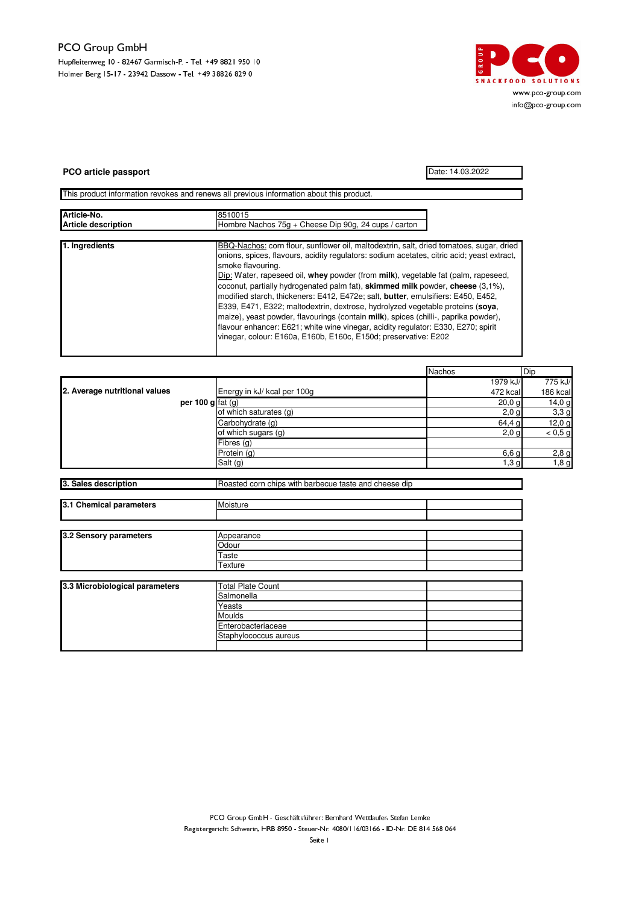## - Hupfleitenweg 10 - 82467 Garmisch-P. - Tel. +49 8821 950 10 Holmer Berg 15-17 - 23942 Dassow - Tel. +49 38826 829 0



## **PCO article passport** Date: 14.03.2022

This product information revokes and renews all previous information about this product.

| Article-No.                | 8510015<br>Hombre Nachos 75g + Cheese Dip 90g, 24 cups / carton                                                                                                                                                                                                                                                                                                                                                                                                                                                                                                                                                                                                                                                                                                                                                      |  |  |
|----------------------------|----------------------------------------------------------------------------------------------------------------------------------------------------------------------------------------------------------------------------------------------------------------------------------------------------------------------------------------------------------------------------------------------------------------------------------------------------------------------------------------------------------------------------------------------------------------------------------------------------------------------------------------------------------------------------------------------------------------------------------------------------------------------------------------------------------------------|--|--|
| <b>Article description</b> |                                                                                                                                                                                                                                                                                                                                                                                                                                                                                                                                                                                                                                                                                                                                                                                                                      |  |  |
|                            |                                                                                                                                                                                                                                                                                                                                                                                                                                                                                                                                                                                                                                                                                                                                                                                                                      |  |  |
| 1. Ingredients             | BBQ-Nachos: corn flour, sunflower oil, maltodextrin, salt, dried tomatoes, sugar, dried<br>onions, spices, flavours, acidity regulators: sodium acetates, citric acid; yeast extract,<br>smoke flavouring.<br>Dip: Water, rapeseed oil, whey powder (from milk), vegetable fat (palm, rapeseed,<br>coconut, partially hydrogenated palm fat), <b>skimmed milk</b> powder, <b>cheese</b> (3,1%),<br>modified starch, thickeners: E412, E472e; salt, butter, emulsifiers: E450, E452,<br>E339, E471, E322; maltodextrin, dextrose, hydrolyzed vegetable proteins (soya,<br>maize), yeast powder, flavourings (contain milk), spices (chilli-, paprika powder),<br>flavour enhancer: E621; white wine vinegar, acidity regulator: E330, E270; spirit<br>vinegar, colour: E160a, E160b, E160c, E150d; preservative: E202 |  |  |

|                                |                     |                                                       | <b>Nachos</b> | Dip      |
|--------------------------------|---------------------|-------------------------------------------------------|---------------|----------|
|                                |                     |                                                       | 1979 kJ/      | 775 kJ/  |
| 2. Average nutritional values  |                     | Energy in kJ/ kcal per 100g                           | 472 kcal      | 186 kcal |
|                                | per 100 $g$ fat (g) |                                                       | 20,0,9        | 14,0 g   |
|                                |                     | of which saturates (g)                                | $2,0$ g       | 3,3g     |
|                                |                     | Carbohydrate (g)                                      | 64,4 g        | 12,0 g   |
|                                |                     | of which sugars (g)                                   | $2,0$ g       | < 0.5 g  |
|                                |                     | Fibres (g)                                            |               |          |
|                                |                     | Protein (g)                                           | 6,6g          | 2,8g     |
|                                |                     | Salt (g)                                              | 1,3g          | 1,8g     |
|                                |                     |                                                       |               |          |
| 3. Sales description           |                     | Roasted corn chips with barbecue taste and cheese dip |               |          |
|                                |                     |                                                       |               |          |
| 3.1 Chemical parameters        |                     | Moisture                                              |               |          |
|                                |                     |                                                       |               |          |
|                                |                     |                                                       |               |          |
| 3.2 Sensory parameters         |                     | Appearance                                            |               |          |
|                                |                     | Odour                                                 |               |          |
|                                |                     | Taste                                                 |               |          |
|                                |                     | Texture                                               |               |          |
|                                |                     |                                                       |               |          |
| 3.3 Microbiological parameters |                     | <b>Total Plate Count</b>                              |               |          |
|                                |                     | Salmonella                                            |               |          |
|                                |                     | Yeasts                                                |               |          |
|                                |                     | Moulds                                                |               |          |
|                                |                     | Enterobacteriaceae                                    |               |          |
|                                |                     | Staphylococcus aureus                                 |               |          |
|                                |                     |                                                       |               |          |